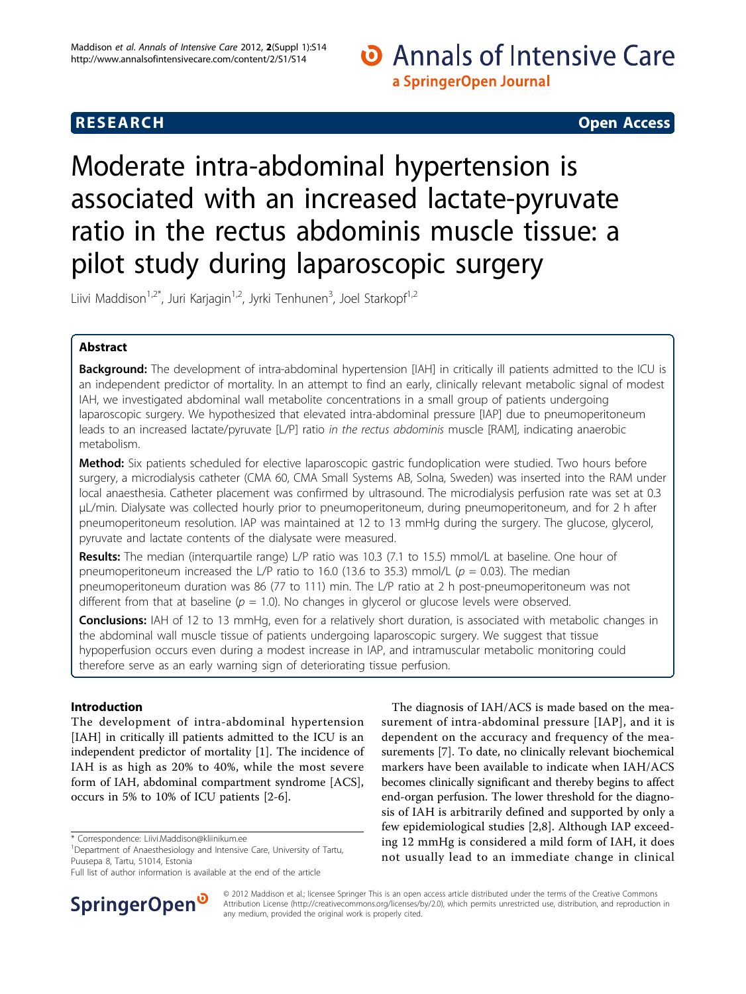## **RESEARCH CONTROL** RESEARCH COMMUNISMENT CONTROL CONTROL CONTROL CONTROL CONTROL CONTROL CONTROL CONTROL CONTROL CONTROL CONTROL CONTROL CONTROL CONTROL CONTROL CONTROL CONTROL CONTROL CONTROL CONTROL CONTROL CONTROL CONTR

O Annals of Intensive Care a SpringerOpen Journal

# Moderate intra-abdominal hypertension is associated with an increased lactate-pyruvate ratio in the rectus abdominis muscle tissue: a pilot study during laparoscopic surgery

Liivi Maddison<sup>1,2\*</sup>, Juri Karjagin<sup>1,2</sup>, Jyrki Tenhunen<sup>3</sup>, Joel Starkopf<sup>1,2</sup>

## Abstract

Background: The development of intra-abdominal hypertension [IAH] in critically ill patients admitted to the ICU is an independent predictor of mortality. In an attempt to find an early, clinically relevant metabolic signal of modest IAH, we investigated abdominal wall metabolite concentrations in a small group of patients undergoing laparoscopic surgery. We hypothesized that elevated intra-abdominal pressure [IAP] due to pneumoperitoneum leads to an increased lactate/pyruvate [L/P] ratio in the rectus abdominis muscle [RAM], indicating anaerobic metabolism.

Method: Six patients scheduled for elective laparoscopic gastric fundoplication were studied. Two hours before surgery, a microdialysis catheter (CMA 60, CMA Small Systems AB, Solna, Sweden) was inserted into the RAM under local anaesthesia. Catheter placement was confirmed by ultrasound. The microdialysis perfusion rate was set at 0.3 μL/min. Dialysate was collected hourly prior to pneumoperitoneum, during pneumoperitoneum, and for 2 h after pneumoperitoneum resolution. IAP was maintained at 12 to 13 mmHg during the surgery. The glucose, glycerol, pyruvate and lactate contents of the dialysate were measured.

Results: The median (interquartile range) L/P ratio was 10.3 (7.1 to 15.5) mmol/L at baseline. One hour of pneumoperitoneum increased the L/P ratio to 16.0 (13.6 to 35.3) mmol/L ( $p = 0.03$ ). The median pneumoperitoneum duration was 86 (77 to 111) min. The L/P ratio at 2 h post-pneumoperitoneum was not different from that at baseline ( $p = 1.0$ ). No changes in glycerol or glucose levels were observed.

Conclusions: IAH of 12 to 13 mmHg, even for a relatively short duration, is associated with metabolic changes in the abdominal wall muscle tissue of patients undergoing laparoscopic surgery. We suggest that tissue hypoperfusion occurs even during a modest increase in IAP, and intramuscular metabolic monitoring could therefore serve as an early warning sign of deteriorating tissue perfusion.

## Introduction

The development of intra-abdominal hypertension [IAH] in critically ill patients admitted to the ICU is an independent predictor of mortality [\[1\]](#page-4-0). The incidence of IAH is as high as 20% to 40%, while the most severe form of IAH, abdominal compartment syndrome [ACS], occurs in 5% to 10% of ICU patients [[2-6](#page-4-0)].

Full list of author information is available at the end of the article



The diagnosis of IAH/ACS is made based on the measurement of intra-abdominal pressure [IAP], and it is dependent on the accuracy and frequency of the measurements [[7\]](#page-4-0). To date, no clinically relevant biochemical markers have been available to indicate when IAH/ACS becomes clinically significant and thereby begins to affect end-organ perfusion. The lower threshold for the diagnosis of IAH is arbitrarily defined and supported by only a few epidemiological studies [\[2](#page-4-0),[8](#page-4-0)]. Although IAP exceeding 12 mmHg is considered a mild form of IAH, it does not usually lead to an immediate change in clinical

© 2012 Maddison et al.; licensee Springer This is an open access article distributed under the terms of the Creative Commons Attribution License [\(http://creativecommons.org/licenses/by/2.0](http://creativecommons.org/licenses/by/2.0)), which permits unrestricted use, distribution, and reproduction in any medium, provided the original work is properly cited.

<sup>\*</sup> Correspondence: [Liivi.Maddison@kliinikum.ee](mailto:Liivi.Maddison@kliinikum.ee)

<sup>&</sup>lt;sup>1</sup>Department of Anaesthesiology and Intensive Care, University of Tartu, Puusepa 8, Tartu, 51014, Estonia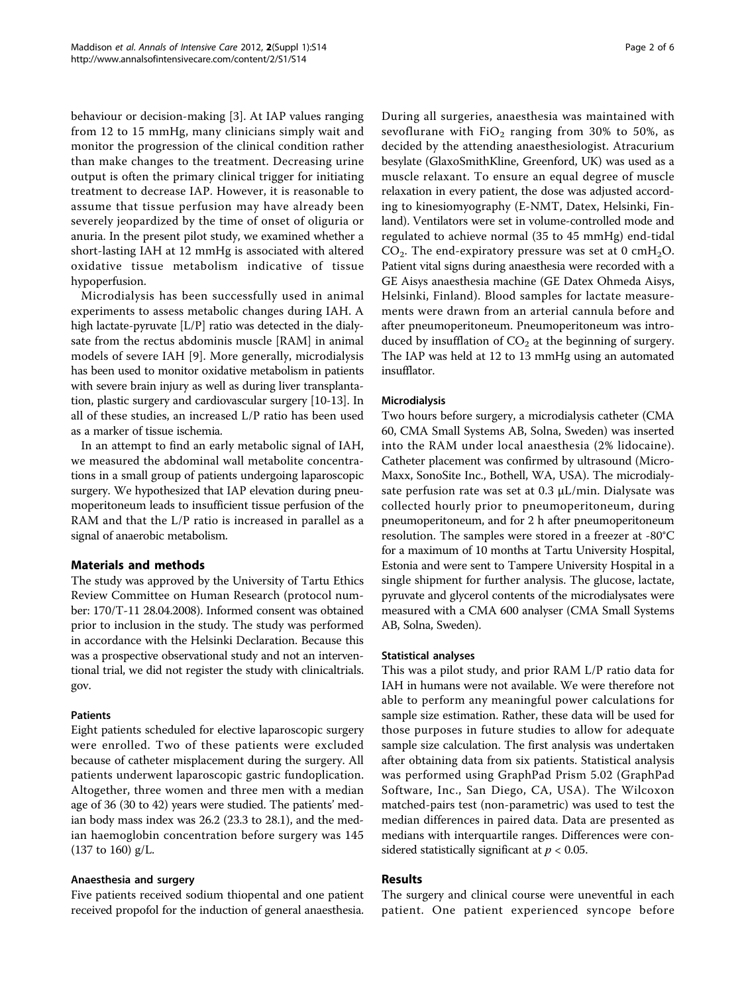behaviour or decision-making [\[3](#page-4-0)]. At IAP values ranging from 12 to 15 mmHg, many clinicians simply wait and monitor the progression of the clinical condition rather than make changes to the treatment. Decreasing urine output is often the primary clinical trigger for initiating treatment to decrease IAP. However, it is reasonable to assume that tissue perfusion may have already been severely jeopardized by the time of onset of oliguria or anuria. In the present pilot study, we examined whether a short-lasting IAH at 12 mmHg is associated with altered oxidative tissue metabolism indicative of tissue hypoperfusion.

Microdialysis has been successfully used in animal experiments to assess metabolic changes during IAH. A high lactate-pyruvate [L/P] ratio was detected in the dialysate from the rectus abdominis muscle [RAM] in animal models of severe IAH [[9](#page-4-0)]. More generally, microdialysis has been used to monitor oxidative metabolism in patients with severe brain injury as well as during liver transplantation, plastic surgery and cardiovascular surgery [\[10-13\]](#page-4-0). In all of these studies, an increased L/P ratio has been used as a marker of tissue ischemia.

In an attempt to find an early metabolic signal of IAH, we measured the abdominal wall metabolite concentrations in a small group of patients undergoing laparoscopic surgery. We hypothesized that IAP elevation during pneumoperitoneum leads to insufficient tissue perfusion of the RAM and that the L/P ratio is increased in parallel as a signal of anaerobic metabolism.

## Materials and methods

The study was approved by the University of Tartu Ethics Review Committee on Human Research (protocol number: 170/T-11 28.04.2008). Informed consent was obtained prior to inclusion in the study. The study was performed in accordance with the Helsinki Declaration. Because this was a prospective observational study and not an interventional trial, we did not register the study with clinicaltrials. gov.

## Patients

Eight patients scheduled for elective laparoscopic surgery were enrolled. Two of these patients were excluded because of catheter misplacement during the surgery. All patients underwent laparoscopic gastric fundoplication. Altogether, three women and three men with a median age of 36 (30 to 42) years were studied. The patients' median body mass index was 26.2 (23.3 to 28.1), and the median haemoglobin concentration before surgery was 145  $(137 \text{ to } 160) \text{ g/L}.$ 

## Anaesthesia and surgery

Five patients received sodium thiopental and one patient received propofol for the induction of general anaesthesia.

During all surgeries, anaesthesia was maintained with sevoflurane with  $FiO<sub>2</sub>$  ranging from 30% to 50%, as decided by the attending anaesthesiologist. Atracurium besylate (GlaxoSmithKline, Greenford, UK) was used as a muscle relaxant. To ensure an equal degree of muscle relaxation in every patient, the dose was adjusted according to kinesiomyography (E-NMT, Datex, Helsinki, Finland). Ventilators were set in volume-controlled mode and regulated to achieve normal (35 to 45 mmHg) end-tidal  $CO<sub>2</sub>$ . The end-expiratory pressure was set at 0 cmH<sub>2</sub>O. Patient vital signs during anaesthesia were recorded with a GE Aisys anaesthesia machine (GE Datex Ohmeda Aisys, Helsinki, Finland). Blood samples for lactate measurements were drawn from an arterial cannula before and after pneumoperitoneum. Pneumoperitoneum was introduced by insufflation of  $CO<sub>2</sub>$  at the beginning of surgery. The IAP was held at 12 to 13 mmHg using an automated insufflator.

## Microdialysis

Two hours before surgery, a microdialysis catheter (CMA 60, CMA Small Systems AB, Solna, Sweden) was inserted into the RAM under local anaesthesia (2% lidocaine). Catheter placement was confirmed by ultrasound (Micro-Maxx, SonoSite Inc., Bothell, WA, USA). The microdialysate perfusion rate was set at 0.3 μL/min. Dialysate was collected hourly prior to pneumoperitoneum, during pneumoperitoneum, and for 2 h after pneumoperitoneum resolution. The samples were stored in a freezer at -80°C for a maximum of 10 months at Tartu University Hospital, Estonia and were sent to Tampere University Hospital in a single shipment for further analysis. The glucose, lactate, pyruvate and glycerol contents of the microdialysates were measured with a CMA 600 analyser (CMA Small Systems AB, Solna, Sweden).

#### Statistical analyses

This was a pilot study, and prior RAM L/P ratio data for IAH in humans were not available. We were therefore not able to perform any meaningful power calculations for sample size estimation. Rather, these data will be used for those purposes in future studies to allow for adequate sample size calculation. The first analysis was undertaken after obtaining data from six patients. Statistical analysis was performed using GraphPad Prism 5.02 (GraphPad Software, Inc., San Diego, CA, USA). The Wilcoxon matched-pairs test (non-parametric) was used to test the median differences in paired data. Data are presented as medians with interquartile ranges. Differences were considered statistically significant at  $p < 0.05$ .

## Results

The surgery and clinical course were uneventful in each patient. One patient experienced syncope before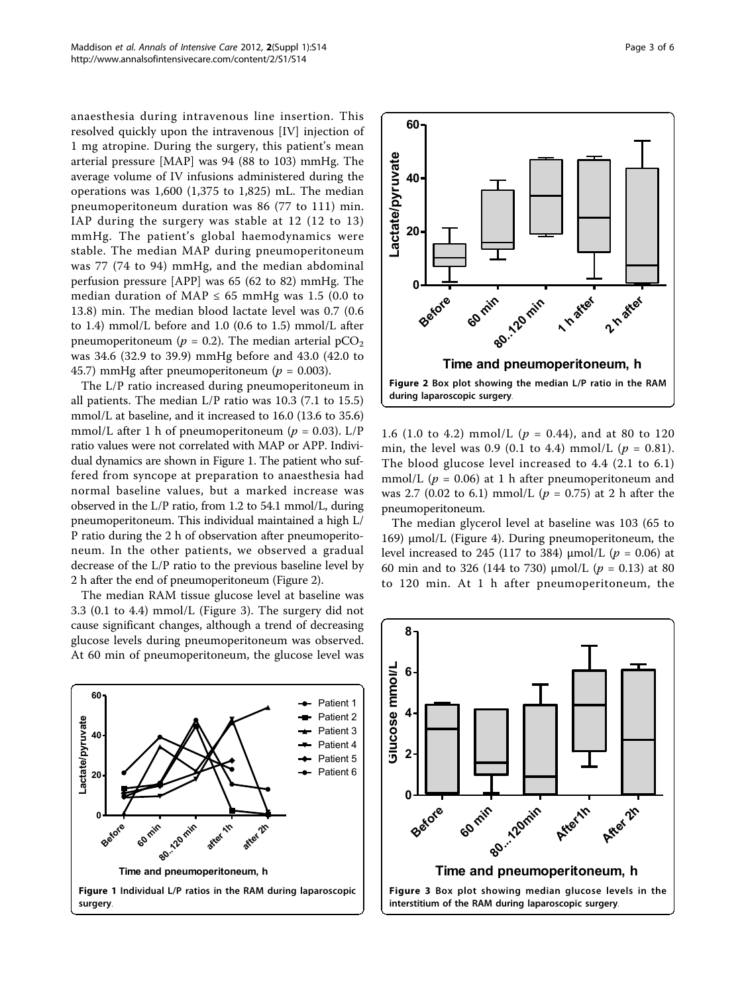anaesthesia during intravenous line insertion. This resolved quickly upon the intravenous [IV] injection of 1 mg atropine. During the surgery, this patient's mean arterial pressure [MAP] was 94 (88 to 103) mmHg. The average volume of IV infusions administered during the operations was 1,600 (1,375 to 1,825) mL. The median pneumoperitoneum duration was 86 (77 to 111) min. IAP during the surgery was stable at 12 (12 to 13) mmHg. The patient's global haemodynamics were stable. The median MAP during pneumoperitoneum was 77 (74 to 94) mmHg, and the median abdominal perfusion pressure [APP] was 65 (62 to 82) mmHg. The median duration of MAP  $\leq 65$  mmHg was 1.5 (0.0 to 13.8) min. The median blood lactate level was 0.7 (0.6 to 1.4) mmol/L before and 1.0 (0.6 to 1.5) mmol/L after pneumoperitoneum ( $p = 0.2$ ). The median arterial pCO<sub>2</sub> was 34.6 (32.9 to 39.9) mmHg before and 43.0 (42.0 to 45.7) mmHg after pneumoperitoneum ( $p = 0.003$ ).

The L/P ratio increased during pneumoperitoneum in all patients. The median L/P ratio was 10.3 (7.1 to 15.5) mmol/L at baseline, and it increased to 16.0 (13.6 to 35.6) mmol/L after 1 h of pneumoperitoneum ( $p = 0.03$ ). L/P ratio values were not correlated with MAP or APP. Individual dynamics are shown in Figure 1. The patient who suffered from syncope at preparation to anaesthesia had normal baseline values, but a marked increase was observed in the L/P ratio, from 1.2 to 54.1 mmol/L, during pneumoperitoneum. This individual maintained a high L/ P ratio during the 2 h of observation after pneumoperitoneum. In the other patients, we observed a gradual decrease of the L/P ratio to the previous baseline level by 2 h after the end of pneumoperitoneum (Figure 2).

The median RAM tissue glucose level at baseline was 3.3 (0.1 to 4.4) mmol/L (Figure 3). The surgery did not cause significant changes, although a trend of decreasing glucose levels during pneumoperitoneum was observed. At 60 min of pneumoperitoneum, the glucose level was





1.6 (1.0 to 4.2) mmol/L ( $p = 0.44$ ), and at 80 to 120 min, the level was 0.9 (0.1 to 4.4) mmol/L ( $p = 0.81$ ). The blood glucose level increased to 4.4 (2.1 to 6.1) mmol/L ( $p = 0.06$ ) at 1 h after pneumoperitoneum and was 2.7 (0.02 to 6.1) mmol/L ( $p = 0.75$ ) at 2 h after the pneumoperitoneum.

The median glycerol level at baseline was 103 (65 to 169) μmol/L (Figure [4](#page-3-0)). During pneumoperitoneum, the level increased to 245 (117 to 384) μmol/L ( $p = 0.06$ ) at 60 min and to 326 (144 to 730)  $\mu$ mol/L (p = 0.13) at 80 to 120 min. At 1 h after pneumoperitoneum, the

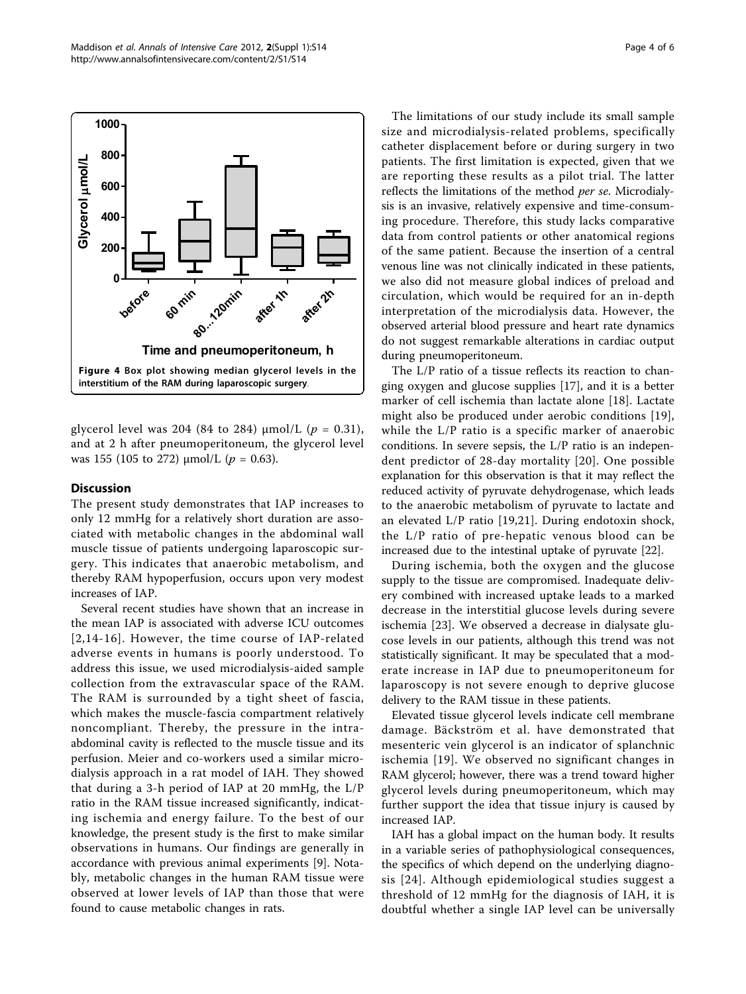<span id="page-3-0"></span>

glycerol level was 204 (84 to 284)  $\mu$ mol/L ( $p = 0.31$ ), and at 2 h after pneumoperitoneum, the glycerol level was 155 (105 to 272)  $\mu$ mol/L ( $p = 0.63$ ).

### **Discussion**

The present study demonstrates that IAP increases to only 12 mmHg for a relatively short duration are associated with metabolic changes in the abdominal wall muscle tissue of patients undergoing laparoscopic surgery. This indicates that anaerobic metabolism, and thereby RAM hypoperfusion, occurs upon very modest increases of IAP.

Several recent studies have shown that an increase in the mean IAP is associated with adverse ICU outcomes [[2,](#page-4-0)[14](#page-5-0)-[16\]](#page-5-0). However, the time course of IAP-related adverse events in humans is poorly understood. To address this issue, we used microdialysis-aided sample collection from the extravascular space of the RAM. The RAM is surrounded by a tight sheet of fascia, which makes the muscle-fascia compartment relatively noncompliant. Thereby, the pressure in the intraabdominal cavity is reflected to the muscle tissue and its perfusion. Meier and co-workers used a similar microdialysis approach in a rat model of IAH. They showed that during a 3-h period of IAP at 20 mmHg, the L/P ratio in the RAM tissue increased significantly, indicating ischemia and energy failure. To the best of our knowledge, the present study is the first to make similar observations in humans. Our findings are generally in accordance with previous animal experiments [\[9\]](#page-4-0). Notably, metabolic changes in the human RAM tissue were observed at lower levels of IAP than those that were found to cause metabolic changes in rats.

The limitations of our study include its small sample size and microdialysis-related problems, specifically catheter displacement before or during surgery in two patients. The first limitation is expected, given that we are reporting these results as a pilot trial. The latter reflects the limitations of the method per se. Microdialysis is an invasive, relatively expensive and time-consuming procedure. Therefore, this study lacks comparative data from control patients or other anatomical regions of the same patient. Because the insertion of a central venous line was not clinically indicated in these patients, we also did not measure global indices of preload and circulation, which would be required for an in-depth interpretation of the microdialysis data. However, the observed arterial blood pressure and heart rate dynamics do not suggest remarkable alterations in cardiac output during pneumoperitoneum.

The L/P ratio of a tissue reflects its reaction to changing oxygen and glucose supplies [\[17](#page-5-0)], and it is a better marker of cell ischemia than lactate alone [\[18](#page-5-0)]. Lactate might also be produced under aerobic conditions [[19](#page-5-0)], while the L/P ratio is a specific marker of anaerobic conditions. In severe sepsis, the L/P ratio is an independent predictor of 28-day mortality [[20\]](#page-5-0). One possible explanation for this observation is that it may reflect the reduced activity of pyruvate dehydrogenase, which leads to the anaerobic metabolism of pyruvate to lactate and an elevated L/P ratio [[19](#page-5-0),[21\]](#page-5-0). During endotoxin shock, the L/P ratio of pre-hepatic venous blood can be increased due to the intestinal uptake of pyruvate [\[22\]](#page-5-0).

During ischemia, both the oxygen and the glucose supply to the tissue are compromised. Inadequate delivery combined with increased uptake leads to a marked decrease in the interstitial glucose levels during severe ischemia [[23\]](#page-5-0). We observed a decrease in dialysate glucose levels in our patients, although this trend was not statistically significant. It may be speculated that a moderate increase in IAP due to pneumoperitoneum for laparoscopy is not severe enough to deprive glucose delivery to the RAM tissue in these patients.

Elevated tissue glycerol levels indicate cell membrane damage. Bäckström et al. have demonstrated that mesenteric vein glycerol is an indicator of splanchnic ischemia [\[19\]](#page-5-0). We observed no significant changes in RAM glycerol; however, there was a trend toward higher glycerol levels during pneumoperitoneum, which may further support the idea that tissue injury is caused by increased IAP.

IAH has a global impact on the human body. It results in a variable series of pathophysiological consequences, the specifics of which depend on the underlying diagnosis [[24](#page-5-0)]. Although epidemiological studies suggest a threshold of 12 mmHg for the diagnosis of IAH, it is doubtful whether a single IAP level can be universally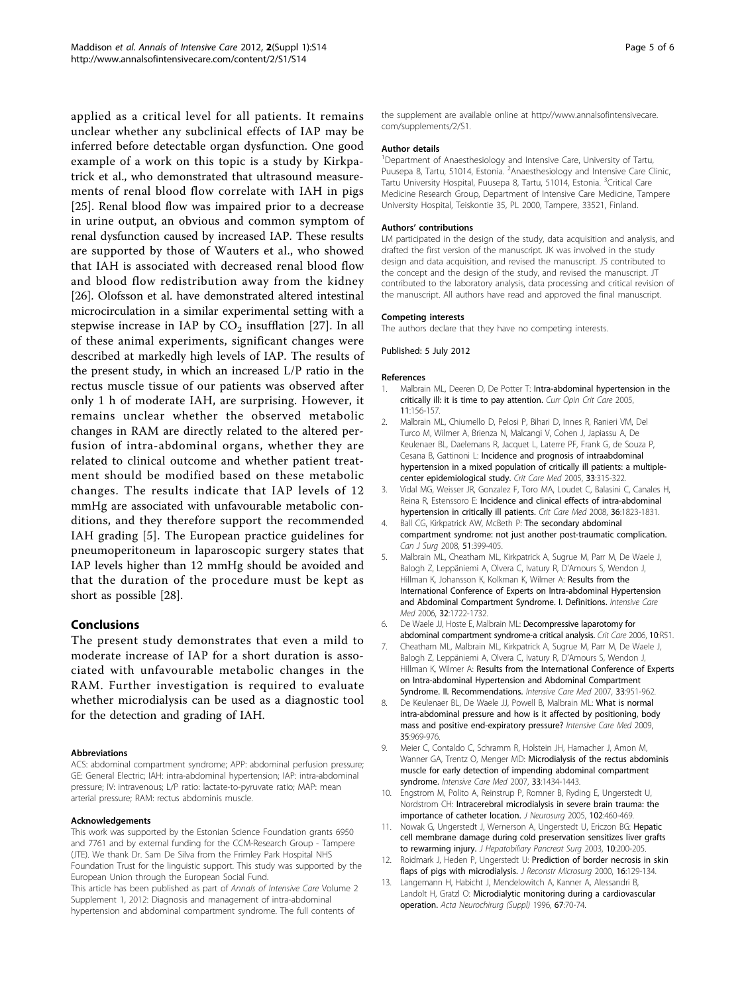<span id="page-4-0"></span>applied as a critical level for all patients. It remains unclear whether any subclinical effects of IAP may be inferred before detectable organ dysfunction. One good example of a work on this topic is a study by Kirkpatrick et al., who demonstrated that ultrasound measurements of renal blood flow correlate with IAH in pigs [[25\]](#page-5-0). Renal blood flow was impaired prior to a decrease in urine output, an obvious and common symptom of renal dysfunction caused by increased IAP. These results are supported by those of Wauters et al., who showed that IAH is associated with decreased renal blood flow and blood flow redistribution away from the kidney [[26\]](#page-5-0). Olofsson et al. have demonstrated altered intestinal microcirculation in a similar experimental setting with a stepwise increase in IAP by  $CO<sub>2</sub>$  insufflation [[27\]](#page-5-0). In all of these animal experiments, significant changes were described at markedly high levels of IAP. The results of the present study, in which an increased L/P ratio in the rectus muscle tissue of our patients was observed after only 1 h of moderate IAH, are surprising. However, it remains unclear whether the observed metabolic changes in RAM are directly related to the altered perfusion of intra-abdominal organs, whether they are related to clinical outcome and whether patient treatment should be modified based on these metabolic changes. The results indicate that IAP levels of 12 mmHg are associated with unfavourable metabolic conditions, and they therefore support the recommended IAH grading [5]. The European practice guidelines for pneumoperitoneum in laparoscopic surgery states that IAP levels higher than 12 mmHg should be avoided and that the duration of the procedure must be kept as short as possible [\[28\]](#page-5-0).

#### Conclusions

The present study demonstrates that even a mild to moderate increase of IAP for a short duration is associated with unfavourable metabolic changes in the RAM. Further investigation is required to evaluate whether microdialysis can be used as a diagnostic tool for the detection and grading of IAH.

#### Abbreviations

ACS: abdominal compartment syndrome; APP: abdominal perfusion pressure; GE: General Electric; IAH: intra-abdominal hypertension; IAP: intra-abdominal pressure; IV: intravenous; L/P ratio: lactate-to-pyruvate ratio; MAP: mean arterial pressure; RAM: rectus abdominis muscle.

#### Acknowledgements

This work was supported by the Estonian Science Foundation grants 6950 and 7761 and by external funding for the CCM-Research Group - Tampere (JTE). We thank Dr. Sam De Silva from the Frimley Park Hospital NHS Foundation Trust for the linguistic support. This study was supported by the European Union through the European Social Fund.

This article has been published as part of Annals of Intensive Care Volume 2 Supplement 1, 2012: Diagnosis and management of intra-abdominal hypertension and abdominal compartment syndrome. The full contents of

the supplement are available online at [http://www.annalsofintensivecare.](http://www.annalsofintensivecare.com/supplements/2/S1) [com/supplements/2/S1.](http://www.annalsofintensivecare.com/supplements/2/S1)

#### Author details

<sup>1</sup>Department of Anaesthesiology and Intensive Care, University of Tartu, Puusepa 8, Tartu, 51014, Estonia. <sup>2</sup>Anaesthesiology and Intensive Care Clinic Tartu University Hospital, Puusepa 8, Tartu, 51014, Estonia. <sup>3</sup>Critical Care Medicine Research Group, Department of Intensive Care Medicine, Tampere University Hospital, Teiskontie 35, PL 2000, Tampere, 33521, Finland.

#### Authors' contributions

LM participated in the design of the study, data acquisition and analysis, and drafted the first version of the manuscript. JK was involved in the study design and data acquisition, and revised the manuscript. JS contributed to the concept and the design of the study, and revised the manuscript. JT contributed to the laboratory analysis, data processing and critical revision of the manuscript. All authors have read and approved the final manuscript.

#### Competing interests

The authors declare that they have no competing interests.

#### Published: 5 July 2012

#### References

- 1. Malbrain ML, Deeren D, De Potter T: [Intra-abdominal hypertension in the](http://www.ncbi.nlm.nih.gov/pubmed/15758597?dopt=Abstract) [critically ill: it is time to pay attention.](http://www.ncbi.nlm.nih.gov/pubmed/15758597?dopt=Abstract) Curr Opin Crit Care 2005, 11:156-157.
- 2. Malbrain ML, Chiumello D, Pelosi P, Bihari D, Innes R, Ranieri VM, Del Turco M, Wilmer A, Brienza N, Malcangi V, Cohen J, Japiassu A, De Keulenaer BL, Daelemans R, Jacquet L, Laterre PF, Frank G, de Souza P, Cesana B, Gattinoni L: [Incidence and prognosis of intraabdominal](http://www.ncbi.nlm.nih.gov/pubmed/15699833?dopt=Abstract) [hypertension in a mixed population of critically ill patients: a multiple](http://www.ncbi.nlm.nih.gov/pubmed/15699833?dopt=Abstract)[center epidemiological study.](http://www.ncbi.nlm.nih.gov/pubmed/15699833?dopt=Abstract) Crit Care Med 2005, 33:315-322.
- 3. Vidal MG, Weisser JR, Gonzalez F, Toro MA, Loudet C, Balasini C, Canales H, Reina R, Estenssoro E: [Incidence and clinical effects of intra-abdominal](http://www.ncbi.nlm.nih.gov/pubmed/18520642?dopt=Abstract) [hypertension in critically ill patients.](http://www.ncbi.nlm.nih.gov/pubmed/18520642?dopt=Abstract) Crit Care Med 2008, 36:1823-1831.
- Ball CG, Kirkpatrick AW, McBeth P: [The secondary abdominal](http://www.ncbi.nlm.nih.gov/pubmed/18841232?dopt=Abstract) [compartment syndrome: not just another post-traumatic complication.](http://www.ncbi.nlm.nih.gov/pubmed/18841232?dopt=Abstract) Can J Surg 2008, 51:399-405.
- 5. Malbrain ML, Cheatham ML, Kirkpatrick A, Sugrue M, Parr M, De Waele J, Balogh Z, Leppäniemi A, Olvera C, Ivatury R, D'Amours S, Wendon J, Hillman K, Johansson K, Kolkman K, Wilmer A: [Results from the](http://www.ncbi.nlm.nih.gov/pubmed/16967294?dopt=Abstract) [International Conference of Experts on Intra-abdominal Hypertension](http://www.ncbi.nlm.nih.gov/pubmed/16967294?dopt=Abstract) [and Abdominal Compartment Syndrome. I. Definitions.](http://www.ncbi.nlm.nih.gov/pubmed/16967294?dopt=Abstract) Intensive Care Med 2006, 32:1722-1732.
- 6. De Waele JJ, Hoste E, Malbrain ML: [Decompressive laparotomy for](http://www.ncbi.nlm.nih.gov/pubmed/16569255?dopt=Abstract) [abdominal compartment syndrome-a critical analysis.](http://www.ncbi.nlm.nih.gov/pubmed/16569255?dopt=Abstract) Crit Care 2006, 10:R51.
- 7. Cheatham ML, Malbrain ML, Kirkpatrick A, Sugrue M, Parr M, De Waele J, Balogh Z, Leppäniemi A, Olvera C, Ivatury R, D'Amours S, Wendon J, Hillman K, Wilmer A: [Results from the International Conference of Experts](http://www.ncbi.nlm.nih.gov/pubmed/17377769?dopt=Abstract) [on Intra-abdominal Hypertension and Abdominal Compartment](http://www.ncbi.nlm.nih.gov/pubmed/17377769?dopt=Abstract) [Syndrome. II. Recommendations.](http://www.ncbi.nlm.nih.gov/pubmed/17377769?dopt=Abstract) Intensive Care Med 2007, 33:951-962.
- 8. De Keulenaer BL, De Waele JJ, Powell B, Malbrain ML: [What is normal](http://www.ncbi.nlm.nih.gov/pubmed/19242675?dopt=Abstract) [intra-abdominal pressure and how is it affected by positioning, body](http://www.ncbi.nlm.nih.gov/pubmed/19242675?dopt=Abstract) [mass and positive end-expiratory pressure?](http://www.ncbi.nlm.nih.gov/pubmed/19242675?dopt=Abstract) Intensive Care Med 2009, 35:969-976.
- 9. Meier C, Contaldo C, Schramm R, Holstein JH, Hamacher J, Amon M, Wanner GA, Trentz O, Menger MD: [Microdialysis of the rectus abdominis](http://www.ncbi.nlm.nih.gov/pubmed/17576536?dopt=Abstract) [muscle for early detection of impending abdominal compartment](http://www.ncbi.nlm.nih.gov/pubmed/17576536?dopt=Abstract) [syndrome.](http://www.ncbi.nlm.nih.gov/pubmed/17576536?dopt=Abstract) Intensive Care Med 2007, 33:1434-1443.
- 10. Engstrom M, Polito A, Reinstrup P, Romner B, Ryding E, Ungerstedt U, Nordstrom CH: [Intracerebral microdialysis in severe brain trauma: the](http://www.ncbi.nlm.nih.gov/pubmed/15796380?dopt=Abstract) [importance of catheter location.](http://www.ncbi.nlm.nih.gov/pubmed/15796380?dopt=Abstract) J Neurosurg 2005, 102:460-469.
- 11. Nowak G, Ungerstedt J, Wernerson A, Ungerstedt U, Ericzon BG: [Hepatic](http://www.ncbi.nlm.nih.gov/pubmed/14605976?dopt=Abstract) [cell membrane damage during cold preservation sensitizes liver grafts](http://www.ncbi.nlm.nih.gov/pubmed/14605976?dopt=Abstract) [to rewarming injury.](http://www.ncbi.nlm.nih.gov/pubmed/14605976?dopt=Abstract) J Hepatobiliary Pancreat Surg 2003, 10:200-205.
- 12. Roidmark J, Heden P, Ungerstedt U: [Prediction of border necrosis in skin](http://www.ncbi.nlm.nih.gov/pubmed/10706203?dopt=Abstract) [flaps of pigs with microdialysis.](http://www.ncbi.nlm.nih.gov/pubmed/10706203?dopt=Abstract) J Reconstr Microsurg 2000, 16:129-134.
- 13. Langemann H, Habicht J, Mendelowitch A, Kanner A, Alessandri B, Landolt H, Gratzl O: Microdialytic monitoring during a cardiovascular operation. Acta Neurochirurg (Suppl) 1996, 67:70-74.